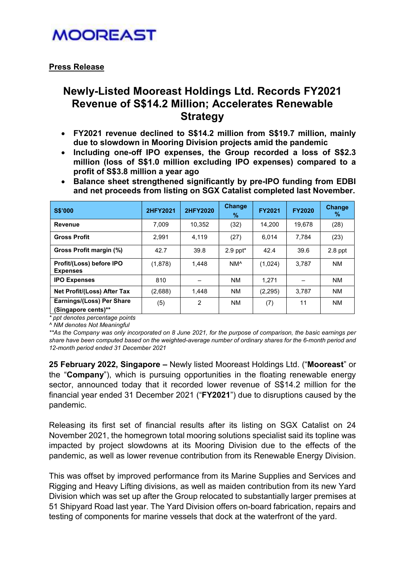### **MOOREAST**

### Press Release

### Newly-Listed Mooreast Holdings Ltd. Records FY2021 Revenue of S\$14.2 Million; Accelerates Renewable **Strategy**

- FY2021 revenue declined to S\$14.2 million from S\$19.7 million, mainly due to slowdown in Mooring Division projects amid the pandemic
- Including one-off IPO expenses, the Group recorded a loss of S\$2.3 million (loss of S\$1.0 million excluding IPO expenses) compared to a profit of S\$3.8 million a year ago
- Balance sheet strengthened significantly by pre-IPO funding from EDBI and net proceeds from listing on SGX Catalist completed last November.

| <b>S\$'000</b>                                   | 2HFY2021 | 2HFY2020       | <b>Change</b><br>%     | <b>FY2021</b> | <b>FY2020</b> | <b>Change</b><br>$\%$ |
|--------------------------------------------------|----------|----------------|------------------------|---------------|---------------|-----------------------|
| <b>Revenue</b>                                   | 7.009    | 10.352         | (32)                   | 14.200        | 19.678        | (28)                  |
| <b>Gross Profit</b>                              | 2.991    | 4.119          | (27)                   | 6.014         | 7.784         | (23)                  |
| Gross Profit margin (%)                          | 42.7     | 39.8           | $2.9$ ppt <sup>*</sup> | 42.4          | 39.6          | $2.8$ ppt             |
| Profit/(Loss) before IPO<br><b>Expenses</b>      | (1,878)  | 1.448          | NM <sup>^</sup>        | (1,024)       | 3.787         | <b>NM</b>             |
| <b>IPO Expenses</b>                              | 810      |                | <b>NM</b>              | 1.271         |               | <b>NM</b>             |
| Net Profit/(Loss) After Tax                      | (2,688)  | 1.448          | <b>NM</b>              | (2, 295)      | 3.787         | <b>NM</b>             |
| Earnings/(Loss) Per Share<br>(Singapore cents)** | (5)      | $\overline{2}$ | <b>NM</b>              | (7)           | 11            | <b>NM</b>             |

\* ppt denotes percentage points

^ NM denotes Not Meaningful

\*\*As the Company was only incorporated on 8 June 2021, for the purpose of comparison, the basic earnings per share have been computed based on the weighted-average number of ordinary shares for the 6-month period and 12-month period ended 31 December 2021

25 February 2022, Singapore – Newly listed Mooreast Holdings Ltd. ("Mooreast" or the "Company"), which is pursuing opportunities in the floating renewable energy sector, announced today that it recorded lower revenue of S\$14.2 million for the financial year ended 31 December 2021 ("FY2021") due to disruptions caused by the pandemic.

Releasing its first set of financial results after its listing on SGX Catalist on 24 November 2021, the homegrown total mooring solutions specialist said its topline was impacted by project slowdowns at its Mooring Division due to the effects of the pandemic, as well as lower revenue contribution from its Renewable Energy Division.

This was offset by improved performance from its Marine Supplies and Services and Rigging and Heavy Lifting divisions, as well as maiden contribution from its new Yard Division which was set up after the Group relocated to substantially larger premises at 51 Shipyard Road last year. The Yard Division offers on-board fabrication, repairs and testing of components for marine vessels that dock at the waterfront of the yard.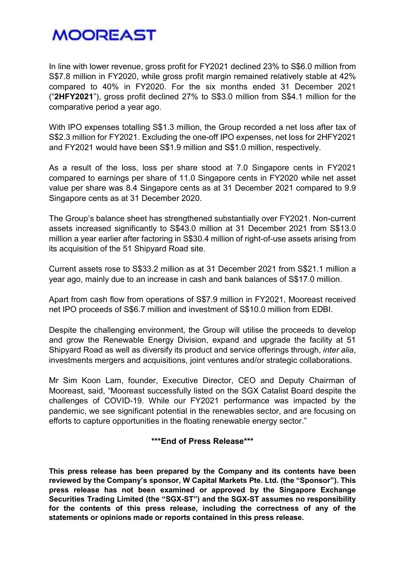# **MOOREAST**

In line with lower revenue, gross profit for FY2021 declined 23% to S\$6.0 million from S\$7.8 million in FY2020, while gross profit margin remained relatively stable at 42% compared to 40% in FY2020. For the six months ended 31 December 2021 ("2HFY2021"), gross profit declined 27% to S\$3.0 million from S\$4.1 million for the comparative period a year ago.

With IPO expenses totalling S\$1.3 million, the Group recorded a net loss after tax of S\$2.3 million for FY2021. Excluding the one-off IPO expenses, net loss for 2HFY2021 and FY2021 would have been S\$1.9 million and S\$1.0 million, respectively.

As a result of the loss, loss per share stood at 7.0 Singapore cents in FY2021 compared to earnings per share of 11.0 Singapore cents in FY2020 while net asset value per share was 8.4 Singapore cents as at 31 December 2021 compared to 9.9 Singapore cents as at 31 December 2020.

The Group's balance sheet has strengthened substantially over FY2021. Non-current assets increased significantly to S\$43.0 million at 31 December 2021 from S\$13.0 million a year earlier after factoring in S\$30.4 million of right-of-use assets arising from its acquisition of the 51 Shipyard Road site.

Current assets rose to S\$33.2 million as at 31 December 2021 from S\$21.1 million a year ago, mainly due to an increase in cash and bank balances of S\$17.0 million.

Apart from cash flow from operations of S\$7.9 million in FY2021, Mooreast received net IPO proceeds of S\$6.7 million and investment of S\$10.0 million from EDBI.

Despite the challenging environment, the Group will utilise the proceeds to develop and grow the Renewable Energy Division, expand and upgrade the facility at 51 Shipyard Road as well as diversify its product and service offerings through, *inter alia*, investments mergers and acquisitions, joint ventures and/or strategic collaborations.

Mr Sim Koon Lam, founder, Executive Director, CEO and Deputy Chairman of Mooreast, said, "Mooreast successfully listed on the SGX Catalist Board despite the challenges of COVID-19. While our FY2021 performance was impacted by the pandemic, we see significant potential in the renewables sector, and are focusing on efforts to capture opportunities in the floating renewable energy sector."

### \*\*\*End of Press Release\*\*\*

This press release has been prepared by the Company and its contents have been reviewed by the Company's sponsor, W Capital Markets Pte. Ltd. (the "Sponsor"). This press release has not been examined or approved by the Singapore Exchange Securities Trading Limited (the "SGX-ST") and the SGX-ST assumes no responsibility for the contents of this press release, including the correctness of any of the statements or opinions made or reports contained in this press release.